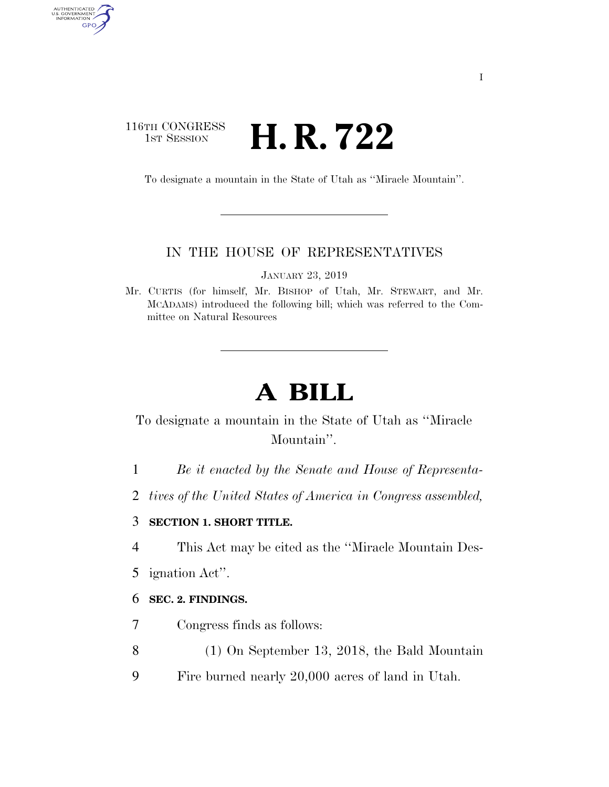## 116TH CONGRESS **H. R. 722**

AUTHENTICATED<br>U.S. GOVERNMENT<br>INFORMATION GPO

To designate a mountain in the State of Utah as ''Miracle Mountain''.

#### IN THE HOUSE OF REPRESENTATIVES

JANUARY 23, 2019

Mr. CURTIS (for himself, Mr. BISHOP of Utah, Mr. STEWART, and Mr. MCADAMS) introduced the following bill; which was referred to the Committee on Natural Resources

# **A BILL**

## To designate a mountain in the State of Utah as ''Miracle Mountain''.

- 1 *Be it enacted by the Senate and House of Representa-*
- 2 *tives of the United States of America in Congress assembled,*

### 3 **SECTION 1. SHORT TITLE.**

4 This Act may be cited as the ''Miracle Mountain Des-

5 ignation Act''.

#### 6 **SEC. 2. FINDINGS.**

- 7 Congress finds as follows:
- 8 (1) On September 13, 2018, the Bald Mountain
- 9 Fire burned nearly 20,000 acres of land in Utah.